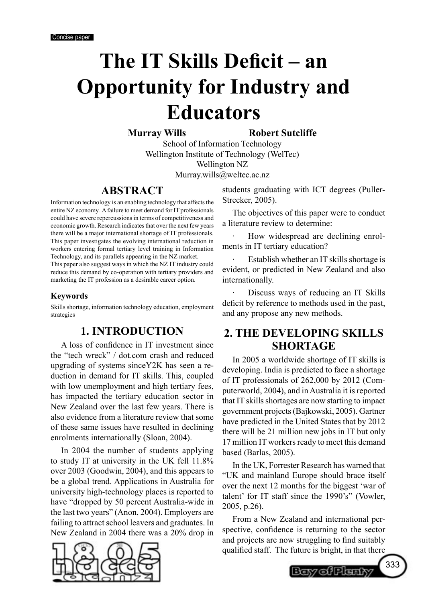# **The IT Skills Deficit – an Opportunity for Industry and Educators**

**Murray Wills Robert Sutcliffe** 

School of Information Technology Wellington Institute of Technology (WelTec) Wellington NZ Murray.wills@weltec.ac.nz

## **ABSTRACT**

Information technology is an enabling technology that affects the entire NZ economy. A failure to meet demand for IT professionals could have severe repercussions in terms of competitiveness and economic growth. Research indicates that over the next few years there will be a major international shortage of IT professionals. This paper investigates the evolving international reduction in workers entering formal tertiary level training in Information Technology, and its parallels appearing in the NZ market. This paper also suggest ways in which the NZ IT industry could reduce this demand by co-operation with tertiary providers and

marketing the IT profession as a desirable career option.

#### **Keywords**

Skills shortage, information technology education, employment strategies

## **1. INTRODUCTION**

A loss of confidence in IT investment since the "tech wreck" / dot.com crash and reduced upgrading of systems sinceY2K has seen a reduction in demand for IT skills. This, coupled with low unemployment and high tertiary fees, has impacted the tertiary education sector in New Zealand over the last few years. There is also evidence from a literature review that some of these same issues have resulted in declining enrolments internationally (Sloan, 2004).

In 2004 the number of students applying to study IT at university in the UK fell 11.8% over 2003 (Goodwin, 2004), and this appears to be a global trend. Applications in Australia for university high-technology places is reported to have "dropped by 50 percent Australia-wide in the last two years" (Anon, 2004). Employers are failing to attract school leavers and graduates. In New Zealand in 2004 there was a 20% drop in



students graduating with ICT degrees (Puller-Strecker, 2005).

The objectives of this paper were to conduct a literature review to determine:

How widespread are declining enrolments in IT tertiary education?

Establish whether an IT skills shortage is evident, or predicted in New Zealand and also internationally.

Discuss ways of reducing an IT Skills deficit by reference to methods used in the past, and any propose any new methods.

## **2. THE DEVELOPING SKILLS SHORTAGE**

In 2005 a worldwide shortage of IT skills is developing. India is predicted to face a shortage of IT professionals of 262,000 by 2012 (Computerworld, 2004), and in Australia it is reported that IT skills shortages are now starting to impact government projects (Bajkowski, 2005). Gartner have predicted in the United States that by 2012 there will be 21 million new jobs in IT but only 17 million IT workers ready to meet this demand based (Barlas, 2005).

In the UK, Forrester Research has warned that "UK and mainland Europe should brace itself over the next 12 months for the biggest 'war of talent' for IT staff since the 1990's" (Vowler, 2005, p.26).

From a New Zealand and international perspective, confidence is returning to the sector and projects are now struggling to find suitably qualified staff. The future is bright, in that there

Boy of Planty

333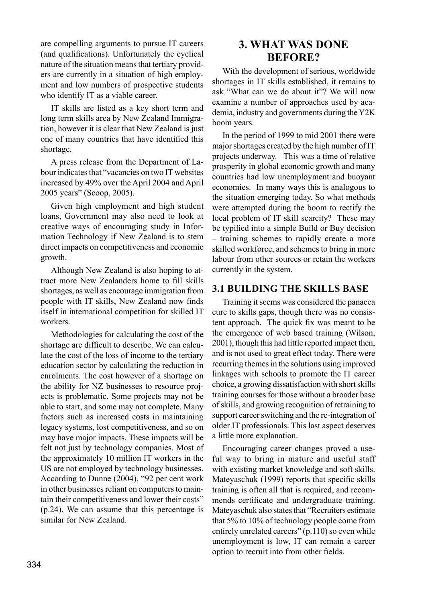are compelling arguments to pursue IT careers (and qualifications). Unfortunately the cyclical nature of the situation means that tertiary providers are currently in a situation of high employment and low numbers of prospective students who identify IT as a viable career.

IT skills are listed as a key short term and long term skills area by New Zealand Immigration, however it is clear that New Zealand is just one of many countries that have identified this shortage.

A press release from the Department of Labour indicates that "vacancies on two IT websites increased by 49% over the April 2004 and April 2005 years" (Scoop, 2005).

Given high employment and high student loans, Government may also need to look at creative ways of encouraging study in Information Technology if New Zealand is to stem direct impacts on competitiveness and economic growth.

Although New Zealand is also hoping to attract more New Zealanders home to fill skills shortages, as well as encourage immigration from people with IT skills, New Zealand now finds itself in international competition for skilled IT workers.

Methodologies for calculating the cost of the shortage are difficult to describe. We can calculate the cost of the loss of income to the tertiary education sector by calculating the reduction in enrolments. The cost however of a shortage on the ability for NZ businesses to resource projects is problematic. Some projects may not be able to start, and some may not complete. Many factors such as increased costs in maintaining legacy systems, lost competitiveness, and so on may have major impacts. These impacts will be felt not just by technology companies. Most of the approximately 10 million IT workers in the US are not employed by technology businesses. According to Dunne (2004), "92 per cent work in other businesses reliant on computers to maintain their competitiveness and lower their costs" (p.24). We can assume that this percentage is similar for New Zealand.

## **3. WHAT WAS DONE BEFORE?**

With the development of serious, worldwide shortages in IT skills established, it remains to ask "What can we do about it"? We will now examine a number of approaches used by academia, industry and governments during the Y2K boom years.

In the period of 1999 to mid 2001 there were major shortages created by the high number of IT projects underway. This was a time of relative prosperity in global economic growth and many countries had low unemployment and buoyant economies. In many ways this is analogous to the situation emerging today. So what methods were attempted during the boom to rectify the local problem of IT skill scarcity? These may be typified into a simple Build or Buy decision – training schemes to rapidly create a more skilled workforce, and schemes to bring in more labour from other sources or retain the workers currently in the system.

#### **3.1 BUILDING THE SKILLS BASE**

Training it seems was considered the panacea cure to skills gaps, though there was no consistent approach. The quick fix was meant to be the emergence of web based training (Wilson, 2001), though this had little reported impact then, and is not used to great effect today. There were recurring themes in the solutions using improved linkages with schools to promote the IT career choice, a growing dissatisfaction with short skills training courses for those without a broader base of skills, and growing recognition of retraining to support career switching and the re-integration of older IT professionals. This last aspect deserves a little more explanation.

Encouraging career changes proved a useful way to bring in mature and useful staff with existing market knowledge and soft skills. Mateyaschuk (1999) reports that specific skills training is often all that is required, and recommends certificate and undergraduate training. Mateyaschuk also states that "Recruiters estimate that 5% to 10% of technology people come from entirely unrelated careers" (p.110) so even while unemployment is low, IT can remain a career option to recruit into from other fields.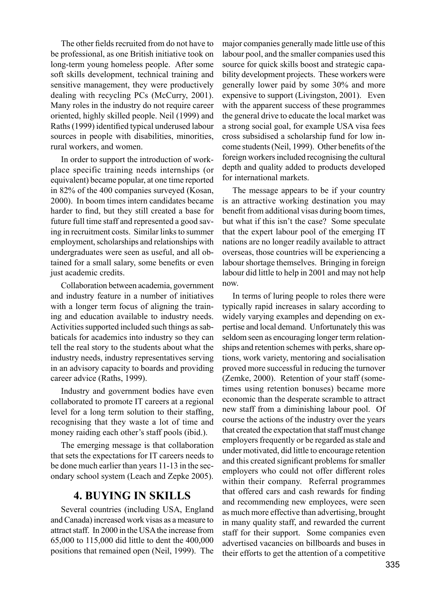The other fields recruited from do not have to be professional, as one British initiative took on long-term young homeless people. After some soft skills development, technical training and sensitive management, they were productively dealing with recycling PCs (McCurry, 2001). Many roles in the industry do not require career oriented, highly skilled people. Neil (1999) and Raths (1999) identified typical underused labour sources in people with disabilities, minorities, rural workers, and women.

In order to support the introduction of workplace specific training needs internships (or equivalent) became popular, at one time reported in 82% of the 400 companies surveyed (Kosan, 2000). In boom times intern candidates became harder to find, but they still created a base for future full time staff and represented a good saving in recruitment costs. Similar links to summer employment, scholarships and relationships with undergraduates were seen as useful, and all obtained for a small salary, some benefits or even just academic credits.

Collaboration between academia, government and industry feature in a number of initiatives with a longer term focus of aligning the training and education available to industry needs. Activities supported included such things as sabbaticals for academics into industry so they can tell the real story to the students about what the industry needs, industry representatives serving in an advisory capacity to boards and providing career advice (Raths, 1999).

Industry and government bodies have even collaborated to promote IT careers at a regional level for a long term solution to their staffing, recognising that they waste a lot of time and money raiding each other's staff pools (ibid.).

The emerging message is that collaboration that sets the expectations for IT careers needs to be done much earlier than years 11-13 in the secondary school system (Leach and Zepke 2005).

## **4. BUYING IN SKILLS**

Several countries (including USA, England and Canada) increased work visas as a measure to attract staff. In 2000 in the USA the increase from 65,000 to 115,000 did little to dent the 400,000 positions that remained open (Neil, 1999). The

major companies generally made little use of this labour pool, and the smaller companies used this source for quick skills boost and strategic capability development projects. These workers were generally lower paid by some 30% and more expensive to support (Livingston, 2001). Even with the apparent success of these programmes the general drive to educate the local market was a strong social goal, for example USA visa fees cross subsidised a scholarship fund for low income students (Neil, 1999). Other benefits of the foreign workers included recognising the cultural depth and quality added to products developed for international markets.

The message appears to be if your country is an attractive working destination you may benefit from additional visas during boom times, but what if this isn't the case? Some speculate that the expert labour pool of the emerging IT nations are no longer readily available to attract overseas, those countries will be experiencing a labour shortage themselves. Bringing in foreign labour did little to help in 2001 and may not help now.

In terms of luring people to roles there were typically rapid increases in salary according to widely varying examples and depending on expertise and local demand. Unfortunately this was seldom seen as encouraging longer term relationships and retention schemes with perks, share options, work variety, mentoring and socialisation proved more successful in reducing the turnover (Zemke, 2000). Retention of your staff (sometimes using retention bonuses) became more economic than the desperate scramble to attract new staff from a diminishing labour pool. Of course the actions of the industry over the years that created the expectation that staff must change employers frequently or be regarded as stale and under motivated, did little to encourage retention and this created significant problems for smaller employers who could not offer different roles within their company. Referral programmes that offered cars and cash rewards for finding and recommending new employees, were seen as much more effective than advertising, brought in many quality staff, and rewarded the current staff for their support. Some companies even advertised vacancies on billboards and buses in their efforts to get the attention of a competitive